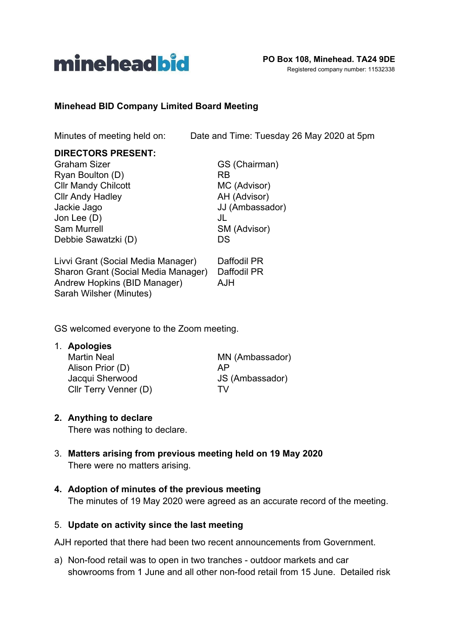

### **Minehead BID Company Limited Board Meeting**

Minutes of meeting held on: Date and Time: Tuesday 26 May 2020 at 5pm

### **DIRECTORS PRESENT:**

| <b>Graham Sizer</b>                 | GS (Chairman)   |
|-------------------------------------|-----------------|
| Ryan Boulton (D)                    | RB              |
| <b>Cllr Mandy Chilcott</b>          | MC (Advisor)    |
| <b>Cllr Andy Hadley</b>             | AH (Advisor)    |
| Jackie Jago                         | JJ (Ambassador) |
| Jon Lee (D)                         | JL              |
| <b>Sam Murrell</b>                  | SM (Advisor)    |
| Debbie Sawatzki (D)                 | DS              |
| Livvi Grant (Social Media Manager)  | Daffodil PR     |
| Sharon Grant (Social Media Manager) | Daffodil PR     |
| Andrew Hopkins (BID Manager)        | <b>AJH</b>      |
| Sarah Wilsher (Minutes)             |                 |

GS welcomed everyone to the Zoom meeting.

1. **Apologies**

Martin Neal MN (Ambassador) Alison Prior (D) AP Jacqui Sherwood JS (Ambassador) Cllr Terry Venner (D) TV

### **2. Anything to declare**

There was nothing to declare.

- 3. **Matters arising from previous meeting held on 19 May 2020** There were no matters arising.
- **4. Adoption of minutes of the previous meeting** The minutes of 19 May 2020 were agreed as an accurate record of the meeting.

### 5. **Update on activity since the last meeting**

AJH reported that there had been two recent announcements from Government.

a) Non-food retail was to open in two tranches - outdoor markets and car showrooms from 1 June and all other non-food retail from 15 June. Detailed risk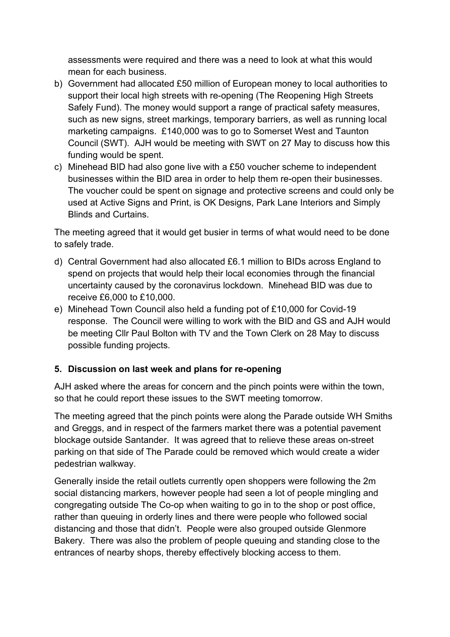assessments were required and there was a need to look at what this would mean for each business.

- b) Government had allocated £50 million of European money to local authorities to support their local high streets with re-opening (The Reopening High Streets Safely Fund). The money would support a range of practical safety measures, such as new signs, street markings, temporary barriers, as well as running local marketing campaigns. £140,000 was to go to Somerset West and Taunton Council (SWT). AJH would be meeting with SWT on 27 May to discuss how this funding would be spent.
- c) Minehead BID had also gone live with a £50 voucher scheme to independent businesses within the BID area in order to help them re-open their businesses. The voucher could be spent on signage and protective screens and could only be used at Active Signs and Print, is OK Designs, Park Lane Interiors and Simply Blinds and Curtains.

The meeting agreed that it would get busier in terms of what would need to be done to safely trade.

- d) Central Government had also allocated £6.1 million to BIDs across England to spend on projects that would help their local economies through the financial uncertainty caused by the coronavirus lockdown. Minehead BID was due to receive £6,000 to £10,000.
- e) Minehead Town Council also held a funding pot of £10,000 for Covid-19 response. The Council were willing to work with the BID and GS and AJH would be meeting Cllr Paul Bolton with TV and the Town Clerk on 28 May to discuss possible funding projects.

### **5. Discussion on last week and plans for re-opening**

AJH asked where the areas for concern and the pinch points were within the town, so that he could report these issues to the SWT meeting tomorrow.

The meeting agreed that the pinch points were along the Parade outside WH Smiths and Greggs, and in respect of the farmers market there was a potential pavement blockage outside Santander. It was agreed that to relieve these areas on-street parking on that side of The Parade could be removed which would create a wider pedestrian walkway.

Generally inside the retail outlets currently open shoppers were following the 2m social distancing markers, however people had seen a lot of people mingling and congregating outside The Co-op when waiting to go in to the shop or post office, rather than queuing in orderly lines and there were people who followed social distancing and those that didn't. People were also grouped outside Glenmore Bakery. There was also the problem of people queuing and standing close to the entrances of nearby shops, thereby effectively blocking access to them.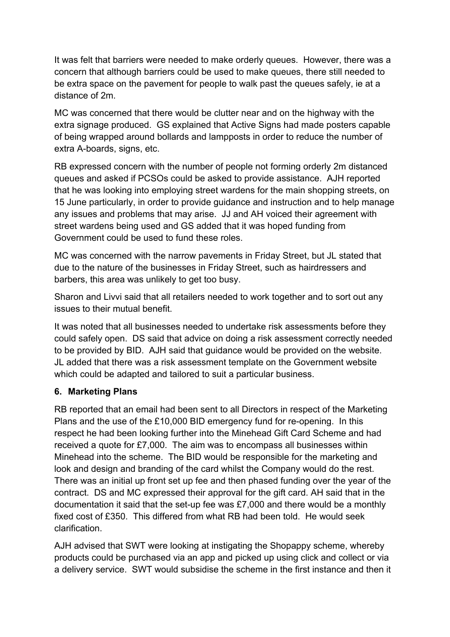It was felt that barriers were needed to make orderly queues. However, there was a concern that although barriers could be used to make queues, there still needed to be extra space on the pavement for people to walk past the queues safely, ie at a distance of 2m.

MC was concerned that there would be clutter near and on the highway with the extra signage produced. GS explained that Active Signs had made posters capable of being wrapped around bollards and lampposts in order to reduce the number of extra A-boards, signs, etc.

RB expressed concern with the number of people not forming orderly 2m distanced queues and asked if PCSOs could be asked to provide assistance. AJH reported that he was looking into employing street wardens for the main shopping streets, on 15 June particularly, in order to provide guidance and instruction and to help manage any issues and problems that may arise. JJ and AH voiced their agreement with street wardens being used and GS added that it was hoped funding from Government could be used to fund these roles.

MC was concerned with the narrow pavements in Friday Street, but JL stated that due to the nature of the businesses in Friday Street, such as hairdressers and barbers, this area was unlikely to get too busy.

Sharon and Livvi said that all retailers needed to work together and to sort out any issues to their mutual benefit.

It was noted that all businesses needed to undertake risk assessments before they could safely open. DS said that advice on doing a risk assessment correctly needed to be provided by BID. AJH said that guidance would be provided on the website. JL added that there was a risk assessment template on the Government website which could be adapted and tailored to suit a particular business.

# **6. Marketing Plans**

RB reported that an email had been sent to all Directors in respect of the Marketing Plans and the use of the £10,000 BID emergency fund for re-opening. In this respect he had been looking further into the Minehead Gift Card Scheme and had received a quote for £7,000. The aim was to encompass all businesses within Minehead into the scheme. The BID would be responsible for the marketing and look and design and branding of the card whilst the Company would do the rest. There was an initial up front set up fee and then phased funding over the year of the contract. DS and MC expressed their approval for the gift card. AH said that in the documentation it said that the set-up fee was £7,000 and there would be a monthly fixed cost of £350. This differed from what RB had been told. He would seek clarification.

AJH advised that SWT were looking at instigating the Shopappy scheme, whereby products could be purchased via an app and picked up using click and collect or via a delivery service. SWT would subsidise the scheme in the first instance and then it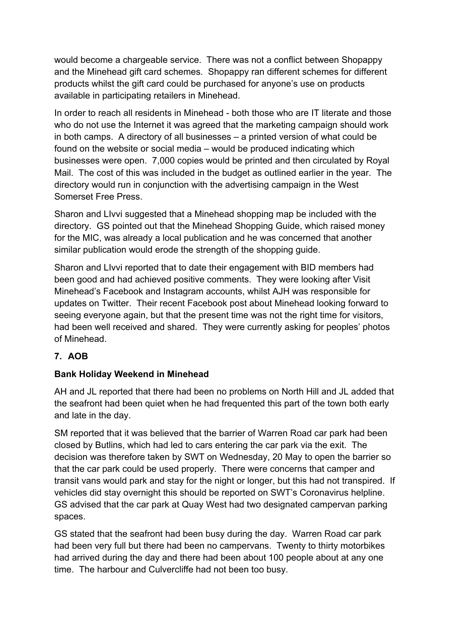would become a chargeable service. There was not a conflict between Shopappy and the Minehead gift card schemes. Shopappy ran different schemes for different products whilst the gift card could be purchased for anyone's use on products available in participating retailers in Minehead.

In order to reach all residents in Minehead - both those who are IT literate and those who do not use the Internet it was agreed that the marketing campaign should work in both camps. A directory of all businesses – a printed version of what could be found on the website or social media – would be produced indicating which businesses were open. 7,000 copies would be printed and then circulated by Royal Mail. The cost of this was included in the budget as outlined earlier in the year. The directory would run in conjunction with the advertising campaign in the West Somerset Free Press.

Sharon and LIvvi suggested that a Minehead shopping map be included with the directory. GS pointed out that the Minehead Shopping Guide, which raised money for the MIC, was already a local publication and he was concerned that another similar publication would erode the strength of the shopping guide.

Sharon and LIvvi reported that to date their engagement with BID members had been good and had achieved positive comments. They were looking after Visit Minehead's Facebook and Instagram accounts, whilst AJH was responsible for updates on Twitter. Their recent Facebook post about Minehead looking forward to seeing everyone again, but that the present time was not the right time for visitors, had been well received and shared. They were currently asking for peoples' photos of Minehead.

# **7. AOB**

# **Bank Holiday Weekend in Minehead**

AH and JL reported that there had been no problems on North Hill and JL added that the seafront had been quiet when he had frequented this part of the town both early and late in the day.

SM reported that it was believed that the barrier of Warren Road car park had been closed by Butlins, which had led to cars entering the car park via the exit. The decision was therefore taken by SWT on Wednesday, 20 May to open the barrier so that the car park could be used properly. There were concerns that camper and transit vans would park and stay for the night or longer, but this had not transpired. If vehicles did stay overnight this should be reported on SWT's Coronavirus helpline. GS advised that the car park at Quay West had two designated campervan parking spaces.

GS stated that the seafront had been busy during the day. Warren Road car park had been very full but there had been no campervans. Twenty to thirty motorbikes had arrived during the day and there had been about 100 people about at any one time. The harbour and Culvercliffe had not been too busy.